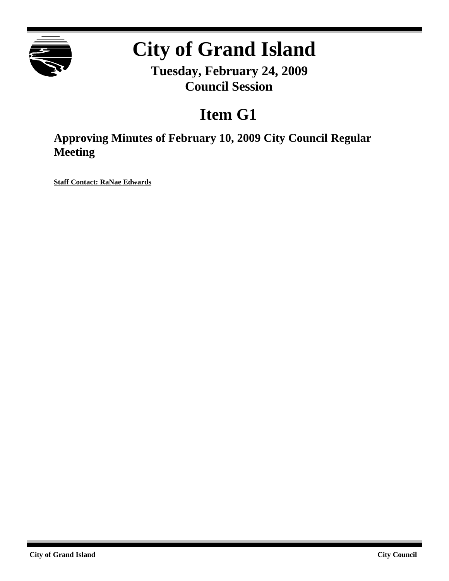

# **City of Grand Island**

**Tuesday, February 24, 2009 Council Session**

## **Item G1**

**Approving Minutes of February 10, 2009 City Council Regular Meeting**

**Staff Contact: RaNae Edwards**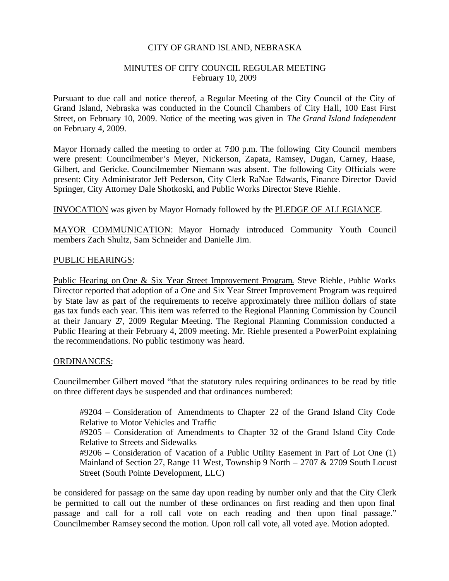#### CITY OF GRAND ISLAND, NEBRASKA

#### MINUTES OF CITY COUNCIL REGULAR MEETING February 10, 2009

Pursuant to due call and notice thereof, a Regular Meeting of the City Council of the City of Grand Island, Nebraska was conducted in the Council Chambers of City Hall, 100 East First Street, on February 10, 2009. Notice of the meeting was given in *The Grand Island Independent* on February 4, 2009.

Mayor Hornady called the meeting to order at 7:00 p.m. The following City Council members were present: Councilmember's Meyer, Nickerson, Zapata, Ramsey, Dugan, Carney, Haase, Gilbert, and Gericke. Councilmember Niemann was absent. The following City Officials were present: City Administrator Jeff Pederson, City Clerk RaNae Edwards, Finance Director David Springer, City Attorney Dale Shotkoski, and Public Works Director Steve Riehle.

#### INVOCATION was given by Mayor Hornady followed by the PLEDGE OF ALLEGIANCE.

MAYOR COMMUNICATION: Mayor Hornady introduced Community Youth Council members Zach Shultz, Sam Schneider and Danielle Jim.

#### PUBLIC HEARINGS:

Public Hearing on One & Six Year Street Improvement Program. Steve Riehle, Public Works Director reported that adoption of a One and Six Year Street Improvement Program was required by State law as part of the requirements to receive approximately three million dollars of state gas tax funds each year. This item was referred to the Regional Planning Commission by Council at their January 27, 2009 Regular Meeting. The Regional Planning Commission conducted a Public Hearing at their February 4, 2009 meeting. Mr. Riehle presented a PowerPoint explaining the recommendations. No public testimony was heard.

#### ORDINANCES:

Councilmember Gilbert moved "that the statutory rules requiring ordinances to be read by title on three different days be suspended and that ordinances numbered:

#9204 – Consideration of Amendments to Chapter 22 of the Grand Island City Code Relative to Motor Vehicles and Traffic

#9205 – Consideration of Amendments to Chapter 32 of the Grand Island City Code Relative to Streets and Sidewalks

#9206 – Consideration of Vacation of a Public Utility Easement in Part of Lot One (1) Mainland of Section 27, Range 11 West, Township 9 North – 2707 & 2709 South Locust Street (South Pointe Development, LLC)

be considered for passage on the same day upon reading by number only and that the City Clerk be permitted to call out the number of these ordinances on first reading and then upon final passage and call for a roll call vote on each reading and then upon final passage." Councilmember Ramsey second the motion. Upon roll call vote, all voted aye. Motion adopted.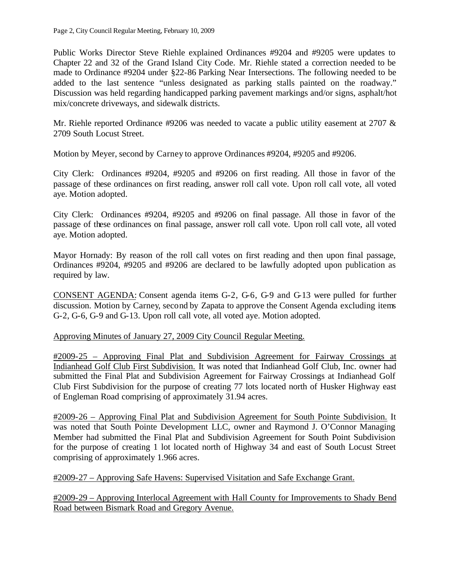Public Works Director Steve Riehle explained Ordinances #9204 and #9205 were updates to Chapter 22 and 32 of the Grand Island City Code. Mr. Riehle stated a correction needed to be made to Ordinance #9204 under §22-86 Parking Near Intersections. The following needed to be added to the last sentence "unless designated as parking stalls painted on the roadway." Discussion was held regarding handicapped parking pavement markings and/or signs, asphalt/hot mix/concrete driveways, and sidewalk districts.

Mr. Riehle reported Ordinance #9206 was needed to vacate a public utility easement at 2707  $\&$ 2709 South Locust Street.

Motion by Meyer, second by Carney to approve Ordinances #9204, #9205 and #9206.

City Clerk: Ordinances #9204, #9205 and #9206 on first reading. All those in favor of the passage of these ordinances on first reading, answer roll call vote. Upon roll call vote, all voted aye. Motion adopted.

City Clerk: Ordinances #9204, #9205 and #9206 on final passage. All those in favor of the passage of these ordinances on final passage, answer roll call vote. Upon roll call vote, all voted aye. Motion adopted.

Mayor Hornady: By reason of the roll call votes on first reading and then upon final passage, Ordinances #9204, #9205 and #9206 are declared to be lawfully adopted upon publication as required by law.

CONSENT AGENDA: Consent agenda items G-2, G-6, G-9 and G-13 were pulled for further discussion. Motion by Carney, second by Zapata to approve the Consent Agenda excluding items G-2, G-6, G-9 and G-13. Upon roll call vote, all voted aye. Motion adopted.

Approving Minutes of January 27, 2009 City Council Regular Meeting.

#2009-25 – Approving Final Plat and Subdivision Agreement for Fairway Crossings at Indianhead Golf Club First Subdivision. It was noted that Indianhead Golf Club, Inc. owner had submitted the Final Plat and Subdivision Agreement for Fairway Crossings at Indianhead Golf Club First Subdivision for the purpose of creating 77 lots located north of Husker Highway east of Engleman Road comprising of approximately 31.94 acres.

#2009-26 – Approving Final Plat and Subdivision Agreement for South Pointe Subdivision. It was noted that South Pointe Development LLC, owner and Raymond J. O'Connor Managing Member had submitted the Final Plat and Subdivision Agreement for South Point Subdivision for the purpose of creating 1 lot located north of Highway 34 and east of South Locust Street comprising of approximately 1.966 acres.

#2009-27 – Approving Safe Havens: Supervised Visitation and Safe Exchange Grant.

#2009-29 – Approving Interlocal Agreement with Hall County for Improvements to Shady Bend Road between Bismark Road and Gregory Avenue.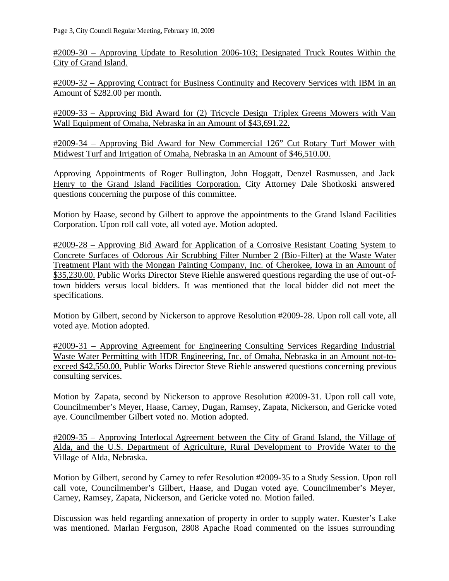#2009-30 – Approving Update to Resolution 2006-103; Designated Truck Routes Within the City of Grand Island.

#2009-32 – Approving Contract for Business Continuity and Recovery Services with IBM in an Amount of \$282.00 per month.

#2009-33 – Approving Bid Award for (2) Tricycle Design Triplex Greens Mowers with Van Wall Equipment of Omaha, Nebraska in an Amount of \$43,691.22.

#2009-34 – Approving Bid Award for New Commercial 126" Cut Rotary Turf Mower with Midwest Turf and Irrigation of Omaha, Nebraska in an Amount of \$46,510.00.

Approving Appointments of Roger Bullington, John Hoggatt, Denzel Rasmussen, and Jack Henry to the Grand Island Facilities Corporation. City Attorney Dale Shotkoski answered questions concerning the purpose of this committee.

Motion by Haase, second by Gilbert to approve the appointments to the Grand Island Facilities Corporation. Upon roll call vote, all voted aye. Motion adopted.

#2009-28 – Approving Bid Award for Application of a Corrosive Resistant Coating System to Concrete Surfaces of Odorous Air Scrubbing Filter Number 2 (Bio-Filter) at the Waste Water Treatment Plant with the Mongan Painting Company, Inc. of Cherokee, Iowa in an Amount of \$35,230.00. Public Works Director Steve Riehle answered questions regarding the use of out-oftown bidders versus local bidders. It was mentioned that the local bidder did not meet the specifications.

Motion by Gilbert, second by Nickerson to approve Resolution #2009-28. Upon roll call vote, all voted aye. Motion adopted.

#2009-31 – Approving Agreement for Engineering Consulting Services Regarding Industrial Waste Water Permitting with HDR Engineering, Inc. of Omaha, Nebraska in an Amount not-toexceed \$42,550.00. Public Works Director Steve Riehle answered questions concerning previous consulting services.

Motion by Zapata, second by Nickerson to approve Resolution #2009-31. Upon roll call vote, Councilmember's Meyer, Haase, Carney, Dugan, Ramsey, Zapata, Nickerson, and Gericke voted aye. Councilmember Gilbert voted no. Motion adopted.

#2009-35 – Approving Interlocal Agreement between the City of Grand Island, the Village of Alda, and the U.S. Department of Agriculture, Rural Development to Provide Water to the Village of Alda, Nebraska.

Motion by Gilbert, second by Carney to refer Resolution #2009-35 to a Study Session. Upon roll call vote, Councilmember's Gilbert, Haase, and Dugan voted aye. Councilmember's Meyer, Carney, Ramsey, Zapata, Nickerson, and Gericke voted no. Motion failed.

Discussion was held regarding annexation of property in order to supply water. Kuester's Lake was mentioned. Marlan Ferguson, 2808 Apache Road commented on the issues surrounding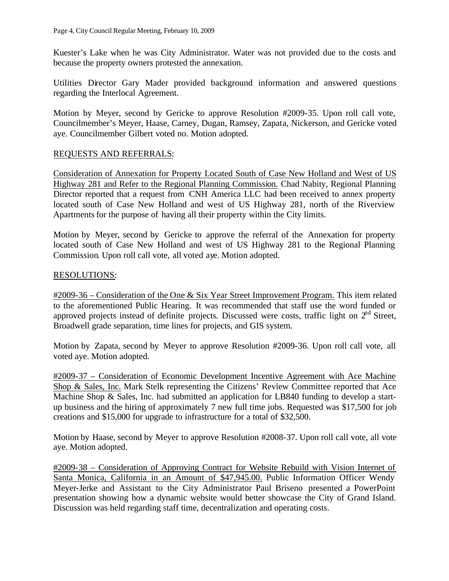Kuester's Lake when he was City Administrator. Water was not provided due to the costs and because the property owners protested the annexation.

Utilities Director Gary Mader provided background information and answered questions regarding the Interlocal Agreement.

Motion by Meyer, second by Gericke to approve Resolution #2009-35. Upon roll call vote, Councilmember's Meyer, Haase, Carney, Dugan, Ramsey, Zapata, Nickerson, and Gericke voted aye. Councilmember Gilbert voted no. Motion adopted.

#### REQUESTS AND REFERRALS:

Consideration of Annexation for Property Located South of Case New Holland and West of US Highway 281 and Refer to the Regional Planning Commission. Chad Nabity, Regional Planning Director reported that a request from CNH America LLC had been received to annex property located south of Case New Holland and west of US Highway 281, north of the Riverview Apartments for the purpose of having all their property within the City limits.

Motion by Meyer, second by Gericke to approve the referral of the Annexation for property located south of Case New Holland and west of US Highway 281 to the Regional Planning Commission. Upon roll call vote, all voted aye. Motion adopted.

#### RESOLUTIONS:

#2009-36 – Consideration of the One & Six Year Street Improvement Program. This item related to the aforementioned Public Hearing. It was recommended that staff use the word funded or approved projects instead of definite projects. Discussed were costs, traffic light on  $2<sup>nd</sup>$  Street, Broadwell grade separation, time lines for projects, and GIS system.

Motion by Zapata, second by Meyer to approve Resolution #2009-36. Upon roll call vote, all voted aye. Motion adopted.

#2009-37 – Consideration of Economic Development Incentive Agreement with Ace Machine Shop & Sales, Inc. Mark Stelk representing the Citizens' Review Committee reported that Ace Machine Shop & Sales, Inc. had submitted an application for LB840 funding to develop a startup business and the hiring of approximately 7 new full time jobs. Requested was \$17,500 for job creations and \$15,000 for upgrade to infrastructure for a total of \$32,500.

Motion by Haase, second by Meyer to approve Resolution #2008-37. Upon roll call vote, all vote aye. Motion adopted.

#2009-38 – Consideration of Approving Contract for Website Rebuild with Vision Internet of Santa Monica, California in an Amount of \$47,945.00. Public Information Officer Wendy Meyer-Jerke and Assistant to the City Administrator Paul Briseno presented a PowerPoint presentation showing how a dynamic website would better showcase the City of Grand Island. Discussion was held regarding staff time, decentralization and operating costs.